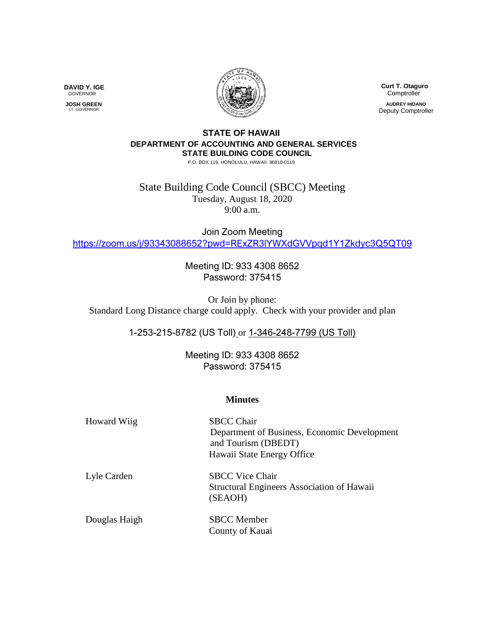

**DAVID Y. IGE** GOVERNOR

 **JOSH GREEN** LT. GOVERNOR

 **Curt T. Otaguro Comptroller AUDREY HIDANO** Deputy Comptroller

## **STATE OF HAWAII DEPARTMENT OF ACCOUNTING AND GENERAL SERVICES STATE BUILDING CODE COUNCIL**

P.O. BOX 119, HONOLULU, HAWAII 96810-0119

State Building Code Council (SBCC) Meeting Tuesday, August 18, 2020 9:00 a.m.

Join Zoom Meeting <https://zoom.us/j/93343088652?pwd=RExZR3lYWXdGVVpqd1Y1Zkdyc3Q5QT09>

> Meeting ID: 933 4308 8652 Password: 375415

Or Join by phone: Standard Long Distance charge could apply. Check with your provider and plan

1-253-215-8782 (US Toll) or 1-346-248-7799 (US Toll)

Meeting ID: 933 4308 8652 Password: 375415

## **Minutes**

| <b>Howard Wiig</b> | <b>SBCC Chair</b><br>Department of Business, Economic Development<br>and Tourism (DBEDT)<br>Hawaii State Energy Office |
|--------------------|------------------------------------------------------------------------------------------------------------------------|
| Lyle Carden        | <b>SBCC Vice Chair</b><br><b>Structural Engineers Association of Hawaii</b><br>(SEAOH)                                 |
| Douglas Haigh      | <b>SBCC</b> Member<br>County of Kauai                                                                                  |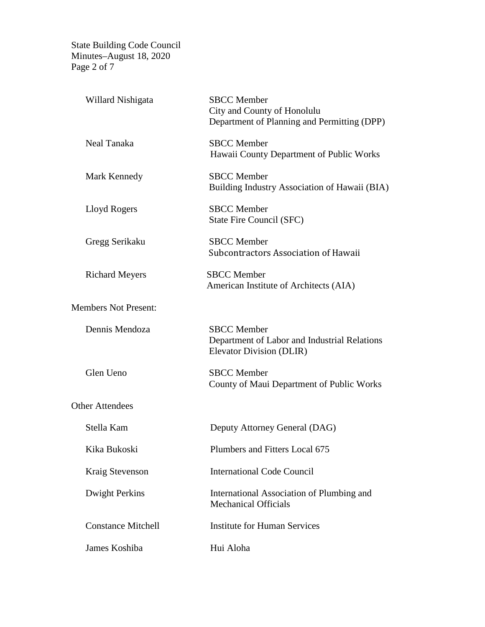State Building Code Council Minutes–August 18, 2020 Page 2 of 7

| Willard Nishigata           | <b>SBCC</b> Member<br>City and County of Honolulu<br>Department of Planning and Permitting (DPP) |  |
|-----------------------------|--------------------------------------------------------------------------------------------------|--|
| <b>Neal Tanaka</b>          | <b>SBCC</b> Member<br>Hawaii County Department of Public Works                                   |  |
| Mark Kennedy                | <b>SBCC</b> Member<br>Building Industry Association of Hawaii (BIA)                              |  |
| Lloyd Rogers                | <b>SBCC</b> Member<br>State Fire Council (SFC)                                                   |  |
| Gregg Serikaku              | <b>SBCC</b> Member<br>Subcontractors Association of Hawaii                                       |  |
| <b>Richard Meyers</b>       | <b>SBCC</b> Member<br>American Institute of Architects (AIA)                                     |  |
| <b>Members Not Present:</b> |                                                                                                  |  |
| Dennis Mendoza              | <b>SBCC</b> Member<br>Department of Labor and Industrial Relations<br>Elevator Division (DLIR)   |  |
| Glen Ueno                   | <b>SBCC</b> Member<br>County of Maui Department of Public Works                                  |  |
| <b>Other Attendees</b>      |                                                                                                  |  |
| Stella Kam                  | Deputy Attorney General (DAG)                                                                    |  |
| Kika Bukoski                | Plumbers and Fitters Local 675                                                                   |  |
| Kraig Stevenson             | <b>International Code Council</b>                                                                |  |
| <b>Dwight Perkins</b>       | International Association of Plumbing and<br><b>Mechanical Officials</b>                         |  |
| <b>Constance Mitchell</b>   | <b>Institute for Human Services</b>                                                              |  |
| James Koshiba               | Hui Aloha                                                                                        |  |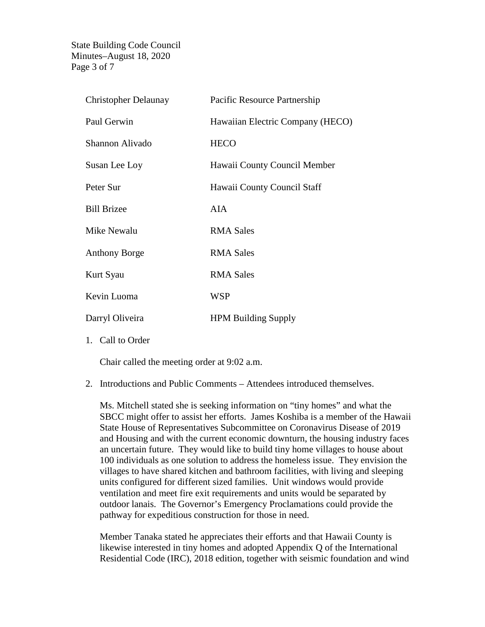State Building Code Council Minutes–August 18, 2020 Page 3 of 7

| <b>Christopher Delaunay</b> | Pacific Resource Partnership     |
|-----------------------------|----------------------------------|
| Paul Gerwin                 | Hawaiian Electric Company (HECO) |
| Shannon Alivado             | <b>HECO</b>                      |
| Susan Lee Loy               | Hawaii County Council Member     |
| Peter Sur                   | Hawaii County Council Staff      |
| <b>Bill Brizee</b>          | <b>AIA</b>                       |
| Mike Newalu                 | <b>RMA Sales</b>                 |
| <b>Anthony Borge</b>        | <b>RMA Sales</b>                 |
| Kurt Syau                   | <b>RMA Sales</b>                 |
| Kevin Luoma                 | <b>WSP</b>                       |
| Darryl Oliveira             | <b>HPM Building Supply</b>       |

1. Call to Order

Chair called the meeting order at 9:02 a.m.

2. Introductions and Public Comments – Attendees introduced themselves.

Ms. Mitchell stated she is seeking information on "tiny homes" and what the SBCC might offer to assist her efforts. James Koshiba is a member of the Hawaii State House of Representatives Subcommittee on Coronavirus Disease of 2019 and Housing and with the current economic downturn, the housing industry faces an uncertain future. They would like to build tiny home villages to house about 100 individuals as one solution to address the homeless issue. They envision the villages to have shared kitchen and bathroom facilities, with living and sleeping units configured for different sized families. Unit windows would provide ventilation and meet fire exit requirements and units would be separated by outdoor lanais. The Governor's Emergency Proclamations could provide the pathway for expeditious construction for those in need.

Member Tanaka stated he appreciates their efforts and that Hawaii County is likewise interested in tiny homes and adopted Appendix Q of the International Residential Code (IRC), 2018 edition, together with seismic foundation and wind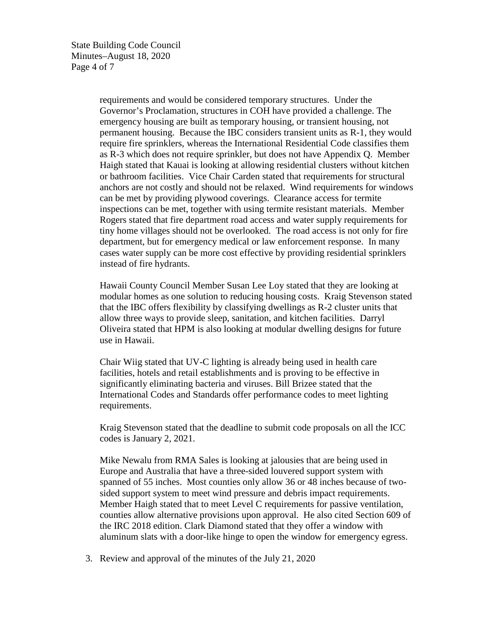requirements and would be considered temporary structures. Under the Governor's Proclamation, structures in COH have provided a challenge. The emergency housing are built as temporary housing, or transient housing, not permanent housing. Because the IBC considers transient units as R-1, they would require fire sprinklers, whereas the International Residential Code classifies them as R-3 which does not require sprinkler, but does not have Appendix Q. Member Haigh stated that Kauai is looking at allowing residential clusters without kitchen or bathroom facilities. Vice Chair Carden stated that requirements for structural anchors are not costly and should not be relaxed. Wind requirements for windows can be met by providing plywood coverings. Clearance access for termite inspections can be met, together with using termite resistant materials. Member Rogers stated that fire department road access and water supply requirements for tiny home villages should not be overlooked. The road access is not only for fire department, but for emergency medical or law enforcement response. In many cases water supply can be more cost effective by providing residential sprinklers instead of fire hydrants.

Hawaii County Council Member Susan Lee Loy stated that they are looking at modular homes as one solution to reducing housing costs. Kraig Stevenson stated that the IBC offers flexibility by classifying dwellings as R-2 cluster units that allow three ways to provide sleep, sanitation, and kitchen facilities. Darryl Oliveira stated that HPM is also looking at modular dwelling designs for future use in Hawaii.

Chair Wiig stated that UV-C lighting is already being used in health care facilities, hotels and retail establishments and is proving to be effective in significantly eliminating bacteria and viruses. Bill Brizee stated that the International Codes and Standards offer performance codes to meet lighting requirements.

Kraig Stevenson stated that the deadline to submit code proposals on all the ICC codes is January 2, 2021.

Mike Newalu from RMA Sales is looking at jalousies that are being used in Europe and Australia that have a three-sided louvered support system with spanned of 55 inches. Most counties only allow 36 or 48 inches because of twosided support system to meet wind pressure and debris impact requirements. Member Haigh stated that to meet Level C requirements for passive ventilation, counties allow alternative provisions upon approval. He also cited Section 609 of the IRC 2018 edition. Clark Diamond stated that they offer a window with aluminum slats with a door-like hinge to open the window for emergency egress.

3. Review and approval of the minutes of the July 21, 2020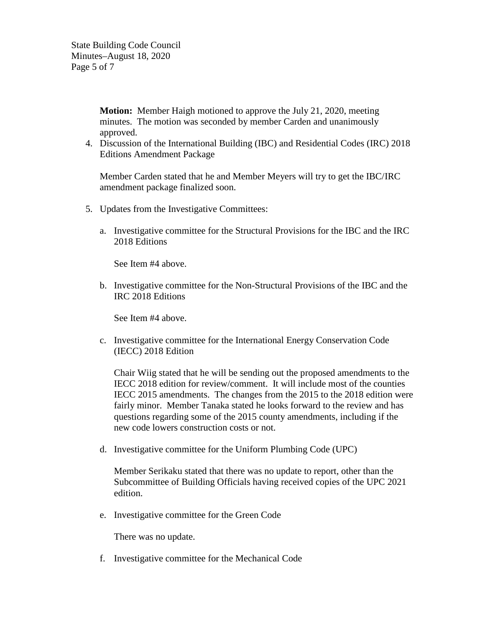State Building Code Council Minutes–August 18, 2020 Page 5 of 7

> **Motion:** Member Haigh motioned to approve the July 21, 2020, meeting minutes. The motion was seconded by member Carden and unanimously approved.

4. Discussion of the International Building (IBC) and Residential Codes (IRC) 2018 Editions Amendment Package

Member Carden stated that he and Member Meyers will try to get the IBC/IRC amendment package finalized soon.

- 5. Updates from the Investigative Committees:
	- a. Investigative committee for the Structural Provisions for the IBC and the IRC 2018 Editions

See Item #4 above.

b. Investigative committee for the Non-Structural Provisions of the IBC and the IRC 2018 Editions

See Item #4 above.

c. Investigative committee for the International Energy Conservation Code (IECC) 2018 Edition

Chair Wiig stated that he will be sending out the proposed amendments to the IECC 2018 edition for review/comment. It will include most of the counties IECC 2015 amendments. The changes from the 2015 to the 2018 edition were fairly minor. Member Tanaka stated he looks forward to the review and has questions regarding some of the 2015 county amendments, including if the new code lowers construction costs or not.

d. Investigative committee for the Uniform Plumbing Code (UPC)

Member Serikaku stated that there was no update to report, other than the Subcommittee of Building Officials having received copies of the UPC 2021 edition.

e. Investigative committee for the Green Code

There was no update.

f. Investigative committee for the Mechanical Code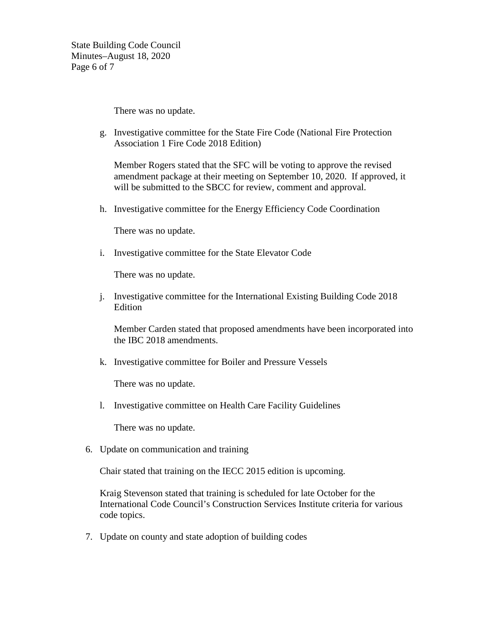State Building Code Council Minutes–August 18, 2020 Page 6 of 7

There was no update.

g. Investigative committee for the State Fire Code (National Fire Protection Association 1 Fire Code 2018 Edition)

Member Rogers stated that the SFC will be voting to approve the revised amendment package at their meeting on September 10, 2020. If approved, it will be submitted to the SBCC for review, comment and approval.

h. Investigative committee for the Energy Efficiency Code Coordination

There was no update.

i. Investigative committee for the State Elevator Code

There was no update.

j. Investigative committee for the International Existing Building Code 2018 Edition

Member Carden stated that proposed amendments have been incorporated into the IBC 2018 amendments.

k. Investigative committee for Boiler and Pressure Vessels

There was no update.

l. Investigative committee on Health Care Facility Guidelines

There was no update.

6. Update on communication and training

Chair stated that training on the IECC 2015 edition is upcoming.

Kraig Stevenson stated that training is scheduled for late October for the International Code Council's Construction Services Institute criteria for various code topics.

7. Update on county and state adoption of building codes